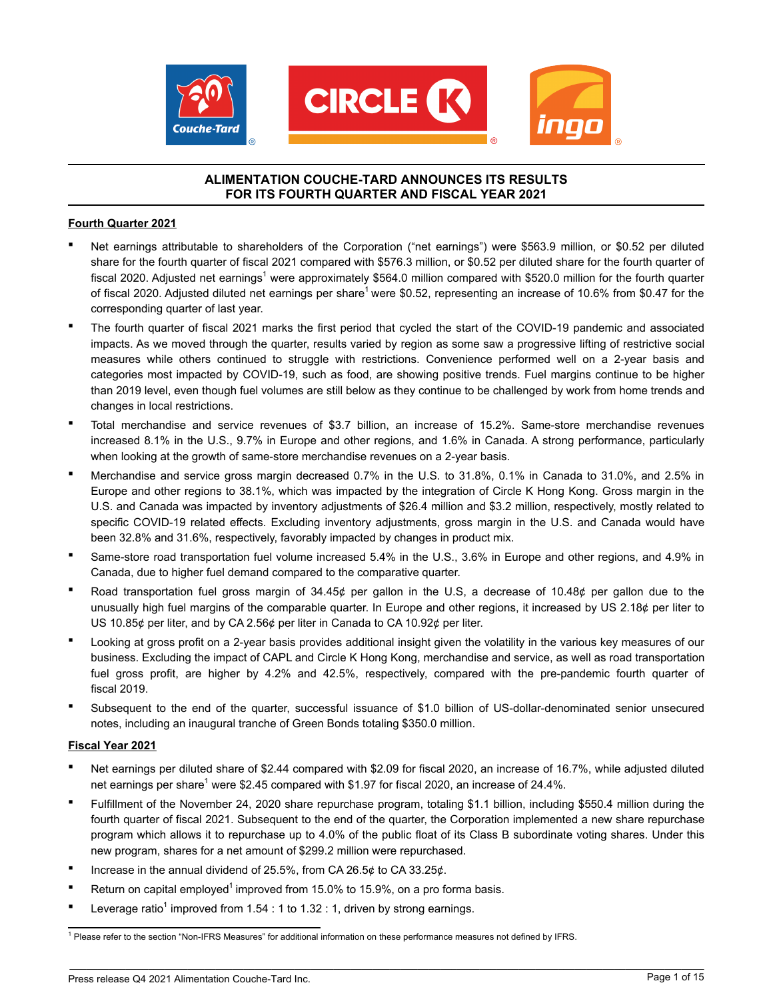

## **ALIMENTATION COUCHE-TARD ANNOUNCES ITS RESULTS FOR ITS FOURTH QUARTER AND FISCAL YEAR 2021**

### **Fourth Quarter 2021**

- Net earnings attributable to shareholders of the Corporation ("net earnings") were \$563.9 million, or \$0.52 per diluted share for the fourth quarter of fiscal 2021 compared with \$576.3 million, or \$0.52 per diluted share for the fourth quarter of fiscal 2020. Adjusted net earnings<sup>1</sup> were approximately \$564.0 million compared with \$520.0 million for the fourth quarter of fiscal 2020. Adjusted diluted net earnings per share<sup>1</sup> were \$0.52, representing an increase of 10.6% from \$0.47 for the corresponding quarter of last year.
- The fourth quarter of fiscal 2021 marks the first period that cycled the start of the COVID-19 pandemic and associated impacts. As we moved through the quarter, results varied by region as some saw a progressive lifting of restrictive social measures while others continued to struggle with restrictions. Convenience performed well on a 2-year basis and categories most impacted by COVID-19, such as food, are showing positive trends. Fuel margins continue to be higher than 2019 level, even though fuel volumes are still below as they continue to be challenged by work from home trends and changes in local restrictions.
- Total merchandise and service revenues of \$3.7 billion, an increase of 15.2%. Same-store merchandise revenues increased 8.1% in the U.S., 9.7% in Europe and other regions, and 1.6% in Canada. A strong performance, particularly when looking at the growth of same-store merchandise revenues on a 2-year basis.
- Merchandise and service gross margin decreased 0.7% in the U.S. to 31.8%, 0.1% in Canada to 31.0%, and 2.5% in Europe and other regions to 38.1%, which was impacted by the integration of Circle K Hong Kong. Gross margin in the U.S. and Canada was impacted by inventory adjustments of \$26.4 million and \$3.2 million, respectively, mostly related to specific COVID-19 related effects. Excluding inventory adjustments, gross margin in the U.S. and Canada would have been 32.8% and 31.6%, respectively, favorably impacted by changes in product mix.
- Same-store road transportation fuel volume increased 5.4% in the U.S., 3.6% in Europe and other regions, and 4.9% in Canada, due to higher fuel demand compared to the comparative quarter.
- Road transportation fuel gross margin of  $34.45¢$  per gallon in the U.S, a decrease of 10.48 $¢$  per gallon due to the unusually high fuel margins of the comparable quarter. In Europe and other regions, it increased by US 2.18¢ per liter to US 10.85¢ per liter, and by CA 2.56¢ per liter in Canada to CA 10.92¢ per liter.
- Looking at gross profit on a 2-year basis provides additional insight given the volatility in the various key measures of our business. Excluding the impact of CAPL and Circle K Hong Kong, merchandise and service, as well as road transportation fuel gross profit, are higher by 4.2% and 42.5%, respectively, compared with the pre-pandemic fourth quarter of fiscal 2019.
- Subsequent to the end of the quarter, successful issuance of \$1.0 billion of US-dollar-denominated senior unsecured notes, including an inaugural tranche of Green Bonds totaling \$350.0 million.

### **Fiscal Year 2021**

- Net earnings per diluted share of \$2.44 compared with \$2.09 for fiscal 2020, an increase of 16.7%, while adjusted diluted net earnings per share<sup>1</sup> were \$2.45 compared with \$1.97 for fiscal 2020, an increase of 24.4%.
- Fulfillment of the November 24, 2020 share repurchase program, totaling \$1.1 billion, including \$550.4 million during the fourth quarter of fiscal 2021. Subsequent to the end of the quarter, the Corporation implemented a new share repurchase program which allows it to repurchase up to 4.0% of the public float of its Class B subordinate voting shares. Under this new program, shares for a net amount of \$299.2 million were repurchased.
- Increase in the annual dividend of 25.5%, from CA 26.5 $\phi$  to CA 33.25 $\phi$ .
- **Return on capital employed<sup>1</sup> improved from 15.0% to 15.9%, on a pro forma basis.**
- **•** Leverage ratio<sup>1</sup> improved from 1.54 : 1 to 1.32 : 1, driven by strong earnings.

<sup>&</sup>lt;sup>1</sup> Please refer to the section "Non-IFRS Measures" for additional information on these performance measures not defined by IFRS.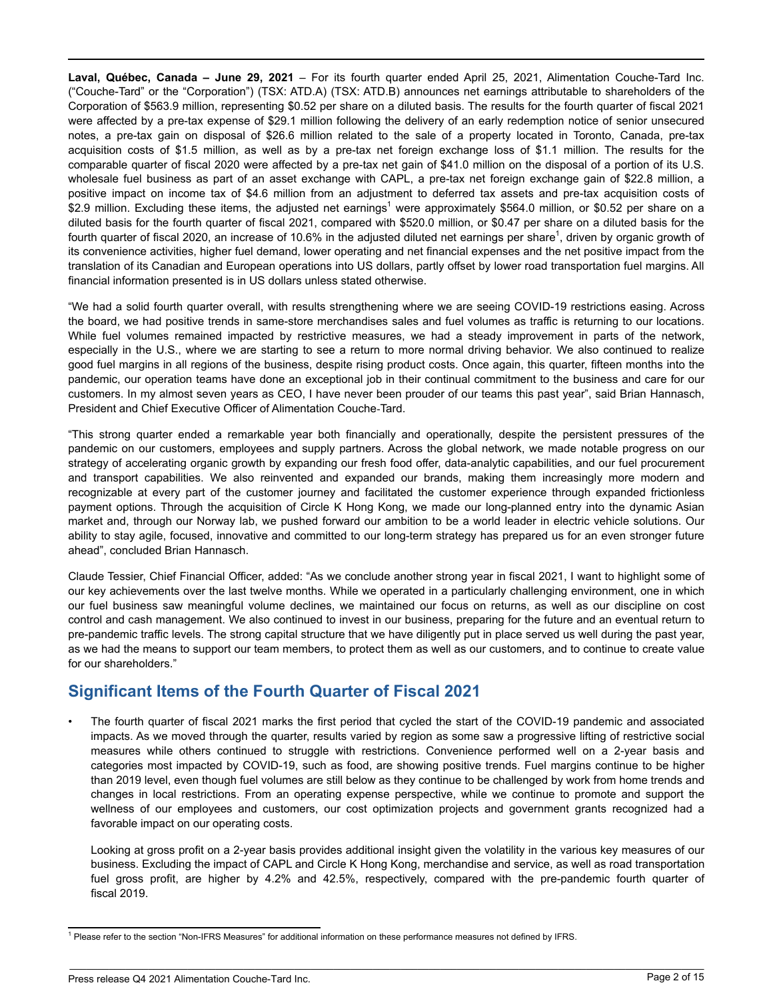**Laval, Québec, Canada – June 29, 2021** – For its fourth quarter ended April 25, 2021, Alimentation Couche-Tard Inc. ("Couche-Tard" or the "Corporation") (TSX: ATD.A) (TSX: ATD.B) announces net earnings attributable to shareholders of the Corporation of \$563.9 million, representing \$0.52 per share on a diluted basis. The results for the fourth quarter of fiscal 2021 were affected by a pre-tax expense of \$29.1 million following the delivery of an early redemption notice of senior unsecured notes, a pre-tax gain on disposal of \$26.6 million related to the sale of a property located in Toronto, Canada, pre-tax acquisition costs of \$1.5 million, as well as by a pre-tax net foreign exchange loss of \$1.1 million. The results for the comparable quarter of fiscal 2020 were affected by a pre-tax net gain of \$41.0 million on the disposal of a portion of its U.S. wholesale fuel business as part of an asset exchange with CAPL, a pre-tax net foreign exchange gain of \$22.8 million, a positive impact on income tax of \$4.6 million from an adjustment to deferred tax assets and pre-tax acquisition costs of \$2.9 million. Excluding these items, the adjusted net earnings<sup>1</sup> were approximately \$564.0 million, or \$0.52 per share on a diluted basis for the fourth quarter of fiscal 2021, compared with \$520.0 million, or \$0.47 per share on a diluted basis for the fourth quarter of fiscal 2020, an increase of 10.6% in the adjusted diluted net earnings per share<sup>1</sup>, driven by organic growth of its convenience activities, higher fuel demand, lower operating and net financial expenses and the net positive impact from the translation of its Canadian and European operations into US dollars, partly offset by lower road transportation fuel margins. All financial information presented is in US dollars unless stated otherwise.

"We had a solid fourth quarter overall, with results strengthening where we are seeing COVID-19 restrictions easing. Across the board, we had positive trends in same-store merchandises sales and fuel volumes as traffic is returning to our locations. While fuel volumes remained impacted by restrictive measures, we had a steady improvement in parts of the network, especially in the U.S., where we are starting to see a return to more normal driving behavior. We also continued to realize good fuel margins in all regions of the business, despite rising product costs. Once again, this quarter, fifteen months into the pandemic, our operation teams have done an exceptional job in their continual commitment to the business and care for our customers. In my almost seven years as CEO, I have never been prouder of our teams this past year", said Brian Hannasch, President and Chief Executive Officer of Alimentation Couche-Tard.

"This strong quarter ended a remarkable year both financially and operationally, despite the persistent pressures of the pandemic on our customers, employees and supply partners. Across the global network, we made notable progress on our strategy of accelerating organic growth by expanding our fresh food offer, data-analytic capabilities, and our fuel procurement and transport capabilities. We also reinvented and expanded our brands, making them increasingly more modern and recognizable at every part of the customer journey and facilitated the customer experience through expanded frictionless payment options. Through the acquisition of Circle K Hong Kong, we made our long-planned entry into the dynamic Asian market and, through our Norway lab, we pushed forward our ambition to be a world leader in electric vehicle solutions. Our ability to stay agile, focused, innovative and committed to our long-term strategy has prepared us for an even stronger future ahead", concluded Brian Hannasch.

Claude Tessier, Chief Financial Officer, added: "As we conclude another strong year in fiscal 2021, I want to highlight some of our key achievements over the last twelve months. While we operated in a particularly challenging environment, one in which our fuel business saw meaningful volume declines, we maintained our focus on returns, as well as our discipline on cost control and cash management. We also continued to invest in our business, preparing for the future and an eventual return to pre-pandemic traffic levels. The strong capital structure that we have diligently put in place served us well during the past year, as we had the means to support our team members, to protect them as well as our customers, and to continue to create value for our shareholders."

## **Significant Items of the Fourth Quarter of Fiscal 2021**

• The fourth quarter of fiscal 2021 marks the first period that cycled the start of the COVID-19 pandemic and associated impacts. As we moved through the quarter, results varied by region as some saw a progressive lifting of restrictive social measures while others continued to struggle with restrictions. Convenience performed well on a 2-year basis and categories most impacted by COVID-19, such as food, are showing positive trends. Fuel margins continue to be higher than 2019 level, even though fuel volumes are still below as they continue to be challenged by work from home trends and changes in local restrictions. From an operating expense perspective, while we continue to promote and support the wellness of our employees and customers, our cost optimization projects and government grants recognized had a favorable impact on our operating costs.

Looking at gross profit on a 2-year basis provides additional insight given the volatility in the various key measures of our business. Excluding the impact of CAPL and Circle K Hong Kong, merchandise and service, as well as road transportation fuel gross profit, are higher by 4.2% and 42.5%, respectively, compared with the pre-pandemic fourth quarter of fiscal 2019.

<sup>&</sup>lt;sup>1</sup> Please refer to the section "Non-IFRS Measures" for additional information on these performance measures not defined by IFRS.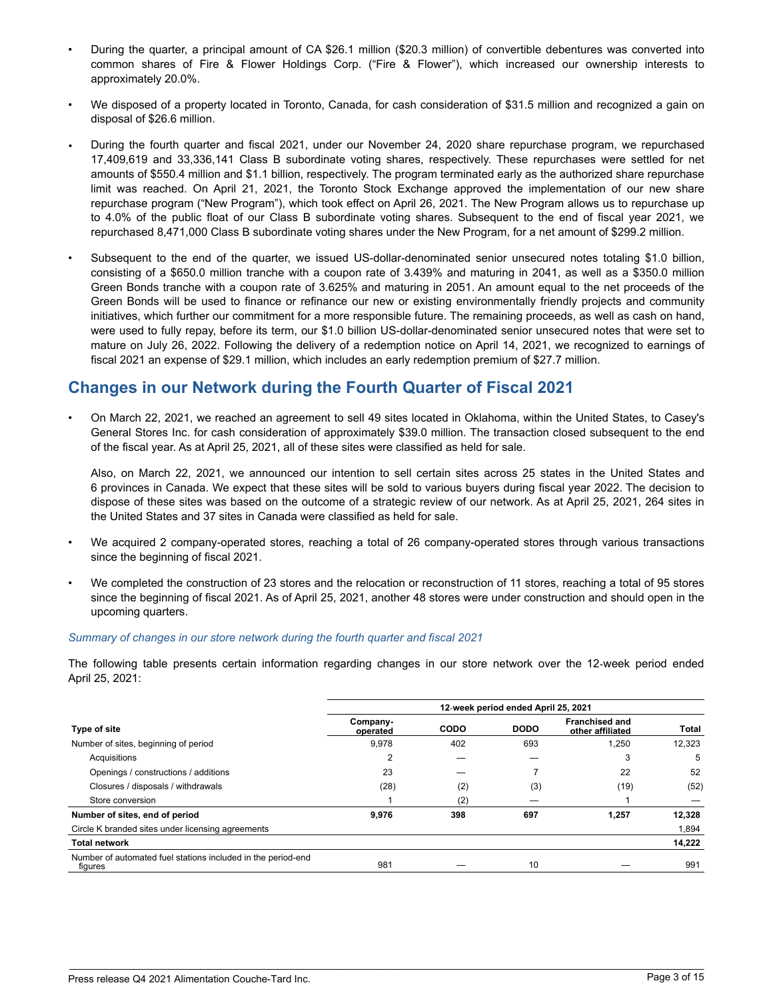- During the quarter, a principal amount of CA \$26.1 million (\$20.3 million) of convertible debentures was converted into common shares of Fire & Flower Holdings Corp. ("Fire & Flower"), which increased our ownership interests to approximately 20.0%.
- We disposed of a property located in Toronto, Canada, for cash consideration of \$31.5 million and recognized a gain on disposal of \$26.6 million.
- During the fourth quarter and fiscal 2021, under our November 24, 2020 share repurchase program, we repurchased 17,409,619 and 33,336,141 Class B subordinate voting shares, respectively. These repurchases were settled for net amounts of \$550.4 million and \$1.1 billion, respectively. The program terminated early as the authorized share repurchase limit was reached. On April 21, 2021, the Toronto Stock Exchange approved the implementation of our new share repurchase program ("New Program"), which took effect on April 26, 2021. The New Program allows us to repurchase up to 4.0% of the public float of our Class B subordinate voting shares. Subsequent to the end of fiscal year 2021, we repurchased 8,471,000 Class B subordinate voting shares under the New Program, for a net amount of \$299.2 million.
- Subsequent to the end of the quarter, we issued US-dollar-denominated senior unsecured notes totaling \$1.0 billion, consisting of a \$650.0 million tranche with a coupon rate of 3.439% and maturing in 2041, as well as a \$350.0 million Green Bonds tranche with a coupon rate of 3.625% and maturing in 2051. An amount equal to the net proceeds of the Green Bonds will be used to finance or refinance our new or existing environmentally friendly projects and community initiatives, which further our commitment for a more responsible future. The remaining proceeds, as well as cash on hand, were used to fully repay, before its term, our \$1.0 billion US-dollar-denominated senior unsecured notes that were set to mature on July 26, 2022. Following the delivery of a redemption notice on April 14, 2021, we recognized to earnings of fiscal 2021 an expense of \$29.1 million, which includes an early redemption premium of \$27.7 million.

## **Changes in our Network during the Fourth Quarter of Fiscal 2021**

*•* On March 22, 2021, we reached an agreement to sell 49 sites located in Oklahoma, within the United States, to Casey's General Stores Inc. for cash consideration of approximately \$39.0 million. The transaction closed subsequent to the end of the fiscal year. As at April 25, 2021, all of these sites were classified as held for sale.

Also, on March 22, 2021, we announced our intention to sell certain sites across 25 states in the United States and 6 provinces in Canada. We expect that these sites will be sold to various buyers during fiscal year 2022. The decision to dispose of these sites was based on the outcome of a strategic review of our network. As at April 25, 2021, 264 sites in the United States and 37 sites in Canada were classified as held for sale.

- We acquired 2 company-operated stores, reaching a total of 26 company-operated stores through various transactions since the beginning of fiscal 2021.
- We completed the construction of 23 stores and the relocation or reconstruction of 11 stores, reaching a total of 95 stores since the beginning of fiscal 2021. As of April 25, 2021, another 48 stores were under construction and should open in the upcoming quarters.

#### *Summary of changes in our store network during the fourth quarter and fiscal 2021*

The following table presents certain information regarding changes in our store network over the 12‑week period ended April 25, 2021:

|                                                                         | 12-week period ended April 25, 2021 |      |             |                                           |        |  |  |
|-------------------------------------------------------------------------|-------------------------------------|------|-------------|-------------------------------------------|--------|--|--|
| Type of site                                                            | Company-<br>operated                | CODO | <b>DODO</b> | <b>Franchised and</b><br>other affiliated | Total  |  |  |
| Number of sites, beginning of period                                    | 9,978                               | 402  | 693         | 1,250                                     | 12.323 |  |  |
| Acquisitions                                                            | $\overline{2}$                      |      |             | 3                                         | 5      |  |  |
| Openings / constructions / additions                                    | 23                                  |      |             | 22                                        | 52     |  |  |
| Closures / disposals / withdrawals                                      | (28)                                | (2)  | (3)         | (19)                                      | (52)   |  |  |
| Store conversion                                                        |                                     | (2)  |             |                                           |        |  |  |
| Number of sites, end of period                                          | 9,976                               | 398  | 697         | 1,257                                     | 12.328 |  |  |
| Circle K branded sites under licensing agreements                       |                                     |      |             |                                           | 1,894  |  |  |
| <b>Total network</b>                                                    |                                     |      |             |                                           | 14,222 |  |  |
| Number of automated fuel stations included in the period-end<br>figures | 981                                 |      | 10          |                                           | 991    |  |  |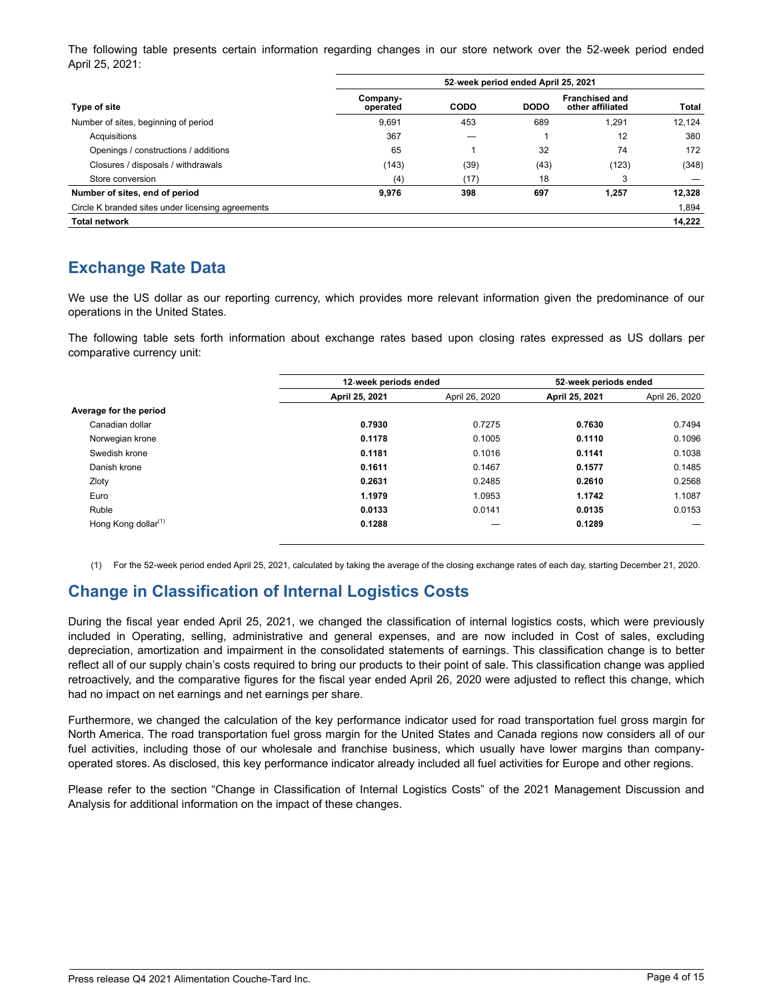The following table presents certain information regarding changes in our store network over the 52‑week period ended April 25, 2021:

|                                                   | 52-week period ended April 25, 2021 |             |             |                                           |        |  |  |
|---------------------------------------------------|-------------------------------------|-------------|-------------|-------------------------------------------|--------|--|--|
| Type of site                                      | Company-<br>operated                | <b>CODO</b> | <b>DODO</b> | <b>Franchised and</b><br>other affiliated | Total  |  |  |
| Number of sites, beginning of period              | 9,691                               | 453         | 689         | 1,291                                     | 12.124 |  |  |
| Acquisitions                                      | 367                                 |             |             | 12                                        | 380    |  |  |
| Openings / constructions / additions              | 65                                  |             | 32          | 74                                        | 172    |  |  |
| Closures / disposals / withdrawals                | (143)                               | (39)        | (43)        | (123)                                     | (348)  |  |  |
| Store conversion                                  | (4)                                 | (17)        | 18          | 3                                         |        |  |  |
| Number of sites, end of period                    | 9,976                               | 398         | 697         | 1,257                                     | 12,328 |  |  |
| Circle K branded sites under licensing agreements |                                     |             |             |                                           | 1,894  |  |  |
| <b>Total network</b>                              |                                     |             |             |                                           | 14,222 |  |  |

# **Exchange Rate Data**

We use the US dollar as our reporting currency, which provides more relevant information given the predominance of our operations in the United States.

The following table sets forth information about exchange rates based upon closing rates expressed as US dollars per comparative currency unit:

|                                 | 12-week periods ended |                | 52-week periods ended |                |
|---------------------------------|-----------------------|----------------|-----------------------|----------------|
|                                 | April 25, 2021        | April 26, 2020 | April 25, 2021        | April 26, 2020 |
| Average for the period          |                       |                |                       |                |
| Canadian dollar                 | 0.7930                | 0.7275         | 0.7630                | 0.7494         |
| Norwegian krone                 | 0.1178                | 0.1005         | 0.1110                | 0.1096         |
| Swedish krone                   | 0.1181                | 0.1016         | 0.1141                | 0.1038         |
| Danish krone                    | 0.1611                | 0.1467         | 0.1577                | 0.1485         |
| Zloty                           | 0.2631                | 0.2485         | 0.2610                | 0.2568         |
| Euro                            | 1.1979                | 1.0953         | 1.1742                | 1.1087         |
| Ruble                           | 0.0133                | 0.0141         | 0.0135                | 0.0153         |
| Hong Kong dollar <sup>(1)</sup> | 0.1288                |                | 0.1289                |                |

(1) For the 52-week period ended April 25, 2021, calculated by taking the average of the closing exchange rates of each day, starting December 21, 2020.

# **Change in Classification of Internal Logistics Costs**

During the fiscal year ended April 25, 2021, we changed the classification of internal logistics costs, which were previously included in Operating, selling, administrative and general expenses, and are now included in Cost of sales, excluding depreciation, amortization and impairment in the consolidated statements of earnings. This classification change is to better reflect all of our supply chain's costs required to bring our products to their point of sale. This classification change was applied retroactively, and the comparative figures for the fiscal year ended April 26, 2020 were adjusted to reflect this change, which had no impact on net earnings and net earnings per share.

Furthermore, we changed the calculation of the key performance indicator used for road transportation fuel gross margin for North America. The road transportation fuel gross margin for the United States and Canada regions now considers all of our fuel activities, including those of our wholesale and franchise business, which usually have lower margins than companyoperated stores. As disclosed, this key performance indicator already included all fuel activities for Europe and other regions.

Please refer to the section "Change in Classification of Internal Logistics Costs" of the 2021 Management Discussion and Analysis for additional information on the impact of these changes.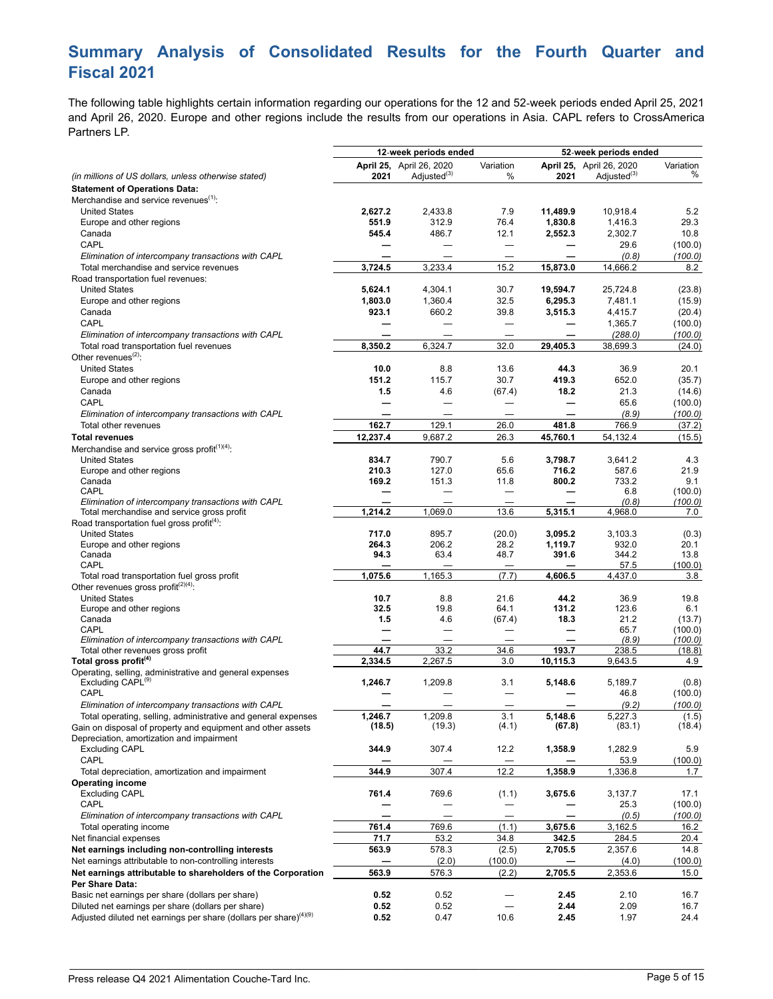# **Summary Analysis of Consolidated Results for the Fourth Quarter and Fiscal 2021**

The following table highlights certain information regarding our operations for the 12 and 52‑week periods ended April 25, 2021 and April 26, 2020. Europe and other regions include the results from our operations in Asia. CAPL refers to CrossAmerica Partners LP.

|                                                                               |                   | 12-week periods ended    |              |                   | 52-week periods ended    |                 |
|-------------------------------------------------------------------------------|-------------------|--------------------------|--------------|-------------------|--------------------------|-----------------|
|                                                                               |                   | April 25, April 26, 2020 | Variation    |                   | April 25, April 26, 2020 | Variation       |
| (in millions of US dollars, unless otherwise stated)                          | 2021              | Adjusted <sup>(3)</sup>  | %            | 2021              | Adjusted <sup>(3)</sup>  | %               |
| <b>Statement of Operations Data:</b>                                          |                   |                          |              |                   |                          |                 |
| Merchandise and service revenues <sup>(1)</sup> :                             |                   |                          |              |                   |                          |                 |
| <b>United States</b>                                                          | 2,627.2           | 2,433.8                  | 7.9          | 11,489.9          | 10,918.4                 | 5.2             |
| Europe and other regions                                                      | 551.9             | 312.9                    | 76.4         | 1,830.8           | 1,416.3                  | 29.3            |
| Canada                                                                        | 545.4             | 486.7                    | 12.1         | 2,552.3           | 2,302.7                  | 10.8            |
| CAPL                                                                          |                   |                          |              |                   | 29.6                     | (100.0)         |
| Elimination of intercompany transactions with CAPL                            |                   |                          |              |                   | (0.8)                    | (100.0)         |
| Total merchandise and service revenues<br>Road transportation fuel revenues:  | 3,724.5           | 3,233.4                  | 15.2         | 15,873.0          | 14,666.2                 | 8.2             |
| <b>United States</b>                                                          | 5,624.1           | 4,304.1                  | 30.7         | 19,594.7          | 25,724.8                 | (23.8)          |
| Europe and other regions                                                      | 1,803.0           | 1,360.4                  | 32.5         | 6,295.3           | 7,481.1                  | (15.9)          |
| Canada                                                                        | 923.1             | 660.2                    | 39.8         | 3,515.3           | 4,415.7                  | (20.4)          |
| CAPL                                                                          |                   |                          | $\equiv$     |                   | 1,365.7                  | (100.0)         |
| Elimination of intercompany transactions with CAPL                            |                   |                          |              |                   | (288.0)                  | (100.0)         |
| Total road transportation fuel revenues                                       | 8,350.2           | 6,324.7                  | 32.0         | 29,405.3          | 38,699.3                 | (24.0)          |
| Other revenues $^{(2)}$ :                                                     |                   |                          |              |                   |                          |                 |
| <b>United States</b>                                                          | 10.0              | 8.8                      | 13.6         | 44.3              | 36.9                     | 20.1            |
| Europe and other regions                                                      | 151.2             | 115.7                    | 30.7         | 419.3             | 652.0                    | (35.7)          |
| Canada                                                                        | 1.5               | 4.6                      | (67.4)       | 18.2              | 21.3                     | (14.6)          |
| CAPL                                                                          |                   |                          |              |                   | 65.6                     | (100.0)         |
| Elimination of intercompany transactions with CAPL                            |                   |                          |              |                   | (8.9)                    | (100.0)         |
| Total other revenues                                                          | 162.7             | 129.1                    | 26.0         | 481.8             | 766.9                    | (37.2)          |
| <b>Total revenues</b>                                                         | 12,237.4          | 9,687.2                  | 26.3         | 45,760.1          | 54,132.4                 | (15.5)          |
| Merchandise and service gross profit $(1)(4)$ .                               |                   |                          |              |                   |                          |                 |
| <b>United States</b>                                                          | 834.7             | 790.7                    | 5.6          | 3,798.7           | 3,641.2                  | 4.3             |
| Europe and other regions                                                      | 210.3             | 127.0                    | 65.6         | 716.2             | 587.6                    | 21.9            |
| Canada                                                                        | 169.2             | 151.3                    | 11.8         | 800.2             | 733.2                    | 9.1             |
| CAPL                                                                          |                   |                          |              |                   | 6.8                      | (100.0)         |
| Elimination of intercompany transactions with CAPL                            |                   |                          |              |                   | (0.8)                    | (100.0)         |
| Total merchandise and service gross profit                                    | 1,214.2           | 1,069.0                  | 13.6         | 5,315.1           | 4,968.0                  | 7.0             |
| Road transportation fuel gross profit <sup>(4)</sup> :                        |                   |                          |              |                   |                          |                 |
| <b>United States</b>                                                          | 717.0             | 895.7                    | (20.0)       | 3,095.2           | 3,103.3                  | (0.3)           |
| Europe and other regions                                                      | 264.3             | 206.2                    | 28.2         | 1,119.7           | 932.0                    | 20.1            |
| Canada<br>CAPL                                                                | 94.3              | 63.4                     | 48.7         | 391.6             | 344.2<br>57.5            | 13.8<br>(100.0) |
| Total road transportation fuel gross profit                                   | 1,075.6           | 1,165.3                  | (7.7)        | 4,606.5           | 4,437.0                  | 3.8             |
| Other revenues gross profit <sup>(2)(4)</sup> :                               |                   |                          |              |                   |                          |                 |
| <b>United States</b>                                                          | 10.7              | 8.8                      | 21.6         | 44.2              | 36.9                     | 19.8            |
| Europe and other regions                                                      | 32.5              | 19.8                     | 64.1         | 131.2             | 123.6                    | 6.1             |
| Canada                                                                        | 1.5               | 4.6                      | (67.4)       | 18.3              | 21.2                     | (13.7)          |
| CAPL                                                                          |                   | —                        |              |                   | 65.7                     | (100.0)         |
| Elimination of intercompany transactions with CAPL                            |                   |                          |              |                   | (8.9)                    | (100.0)         |
| Total other revenues gross profit                                             | 44.7              | 33.2                     | 34.6         | 193.7             | 238.5                    | (18.8)          |
| Total gross profit <sup>(4)</sup>                                             | 2,334.5           | 2,267.5                  | 3.0          | 10,115.3          | 9,643.5                  | 4.9             |
| Operating, selling, administrative and general expenses                       |                   |                          |              |                   |                          |                 |
| Excluding CAPL <sup>(9)</sup>                                                 | 1,246.7           | 1,209.8                  | 3.1          | 5,148.6           | 5,189.7                  | (0.8)           |
| CAPL                                                                          |                   |                          |              |                   | 46.8                     | (100.0)         |
| Elimination of intercompany transactions with CAPL                            |                   |                          |              |                   | (9.2)                    | (100.0)         |
| Total operating, selling, administrative and general expenses                 | 1,246.7<br>(18.5) | 1,209.8<br>(19.3)        | 3.1<br>(4.1) | 5,148.6<br>(67.8) | 5,227.3<br>(83.1)        | (1.5)<br>(18.4) |
| Gain on disposal of property and equipment and other assets                   |                   |                          |              |                   |                          |                 |
| Depreciation, amortization and impairment                                     | 344.9             |                          |              |                   |                          |                 |
| <b>Excluding CAPL</b>                                                         |                   | 307.4                    | 12.2         | 1,358.9           | 1,282.9                  | 5.9             |
| CAPL                                                                          | 344.9             | 307.4                    | 12.2         | 1,358.9           | 53.9<br>1,336.8          | (100.0)<br>1.7  |
| Total depreciation, amortization and impairment<br><b>Operating income</b>    |                   |                          |              |                   |                          |                 |
| <b>Excluding CAPL</b>                                                         | 761.4             | 769.6                    | (1.1)        | 3,675.6           | 3,137.7                  | 17.1            |
| CAPL                                                                          |                   |                          |              |                   | 25.3                     | (100.0)         |
| Elimination of intercompany transactions with CAPL                            |                   |                          |              |                   | (0.5)                    | (100.0)         |
| Total operating income                                                        | 761.4             | 769.6                    | (1.1)        | 3,675.6           | 3,162.5                  | 16.2            |
| Net financial expenses                                                        | 71.7              | 53.2                     | 34.8         | 342.5             | 284.5                    | 20.4            |
| Net earnings including non-controlling interests                              | 563.9             | 578.3                    | (2.5)        | 2,705.5           | 2,357.6                  | 14.8            |
| Net earnings attributable to non-controlling interests                        |                   | (2.0)                    | (100.0)      |                   | (4.0)                    | (100.0)         |
| Net earnings attributable to shareholders of the Corporation                  | 563.9             | 576.3                    | (2.2)        | 2,705.5           | 2,353.6                  | 15.0            |
| Per Share Data:                                                               |                   |                          |              |                   |                          |                 |
| Basic net earnings per share (dollars per share)                              | 0.52              | 0.52                     |              | 2.45              | 2.10                     | 16.7            |
| Diluted net earnings per share (dollars per share)                            | 0.52              | 0.52                     |              | 2.44              | 2.09                     | 16.7            |
| Adjusted diluted net earnings per share (dollars per share) <sup>(4)(9)</sup> | 0.52              | 0.47                     | 10.6         | 2.45              | 1.97                     | 24.4            |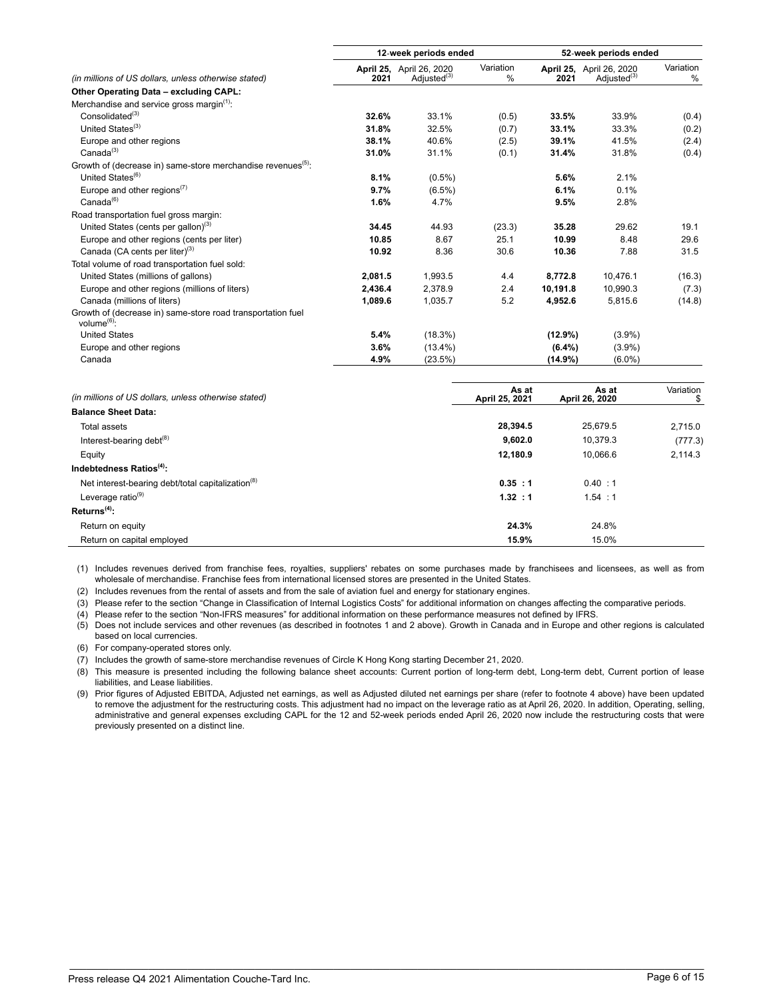|                                                                               | 12-week periods ended |                                                     | 52-week periods ended |           |                                                     |                |
|-------------------------------------------------------------------------------|-----------------------|-----------------------------------------------------|-----------------------|-----------|-----------------------------------------------------|----------------|
| (in millions of US dollars, unless otherwise stated)                          | 2021                  | April 25, April 26, 2020<br>Adjusted <sup>(3)</sup> | Variation<br>$\%$     | 2021      | April 25, April 26, 2020<br>Adjusted <sup>(3)</sup> | Variation<br>% |
| Other Operating Data - excluding CAPL:                                        |                       |                                                     |                       |           |                                                     |                |
| Merchandise and service gross margin <sup>(1)</sup> :                         |                       |                                                     |                       |           |                                                     |                |
| Consolidated <sup>(3)</sup>                                                   | 32.6%                 | 33.1%                                               | (0.5)                 | 33.5%     | 33.9%                                               | (0.4)          |
| United States <sup>(3)</sup>                                                  | 31.8%                 | 32.5%                                               | (0.7)                 | 33.1%     | 33.3%                                               | (0.2)          |
| Europe and other regions                                                      | 38.1%                 | 40.6%                                               | (2.5)                 | 39.1%     | 41.5%                                               | (2.4)          |
| Canada <sup>(3)</sup>                                                         | 31.0%                 | 31.1%                                               | (0.1)                 | 31.4%     | 31.8%                                               | (0.4)          |
| Growth of (decrease in) same-store merchandise revenues <sup>(5)</sup> :      |                       |                                                     |                       |           |                                                     |                |
| United States <sup>(6)</sup>                                                  | 8.1%                  | $(0.5\%)$                                           |                       | 5.6%      | 2.1%                                                |                |
| Europe and other regions $(7)$                                                | 9.7%                  | $(6.5\%)$                                           |                       | 6.1%      | 0.1%                                                |                |
| Canada <sup>(6)</sup>                                                         | 1.6%                  | 4.7%                                                |                       | 9.5%      | 2.8%                                                |                |
| Road transportation fuel gross margin:                                        |                       |                                                     |                       |           |                                                     |                |
| United States (cents per gallon) <sup>(3)</sup>                               | 34.45                 | 44.93                                               | (23.3)                | 35.28     | 29.62                                               | 19.1           |
| Europe and other regions (cents per liter)                                    | 10.85                 | 8.67                                                | 25.1                  | 10.99     | 8.48                                                | 29.6           |
| Canada (CA cents per liter) <sup>(3)</sup>                                    | 10.92                 | 8.36                                                | 30.6                  | 10.36     | 7.88                                                | 31.5           |
| Total volume of road transportation fuel sold:                                |                       |                                                     |                       |           |                                                     |                |
| United States (millions of gallons)                                           | 2,081.5               | 1,993.5                                             | 4.4                   | 8,772.8   | 10,476.1                                            | (16.3)         |
| Europe and other regions (millions of liters)                                 | 2.436.4               | 2.378.9                                             | 2.4                   | 10.191.8  | 10.990.3                                            | (7.3)          |
| Canada (millions of liters)                                                   | 1,089.6               | 1,035.7                                             | 5.2                   | 4,952.6   | 5,815.6                                             | (14.8)         |
| Growth of (decrease in) same-store road transportation fuel<br>volume $(6)$ : |                       |                                                     |                       |           |                                                     |                |
| <b>United States</b>                                                          | 5.4%                  | (18.3%)                                             |                       | (12.9%)   | $(3.9\%)$                                           |                |
| Europe and other regions                                                      | 3.6%                  | $(13.4\%)$                                          |                       | $(6.4\%)$ | $(3.9\%)$                                           |                |
| Canada                                                                        | 4.9%                  | (23.5%)                                             |                       | (14.9%)   | $(6.0\%)$                                           |                |

| As at<br>April 25, 2021 | As at<br>April 26, 2020 | Variation |
|-------------------------|-------------------------|-----------|
|                         |                         |           |
| 28,394.5                | 25.679.5                | 2.715.0   |
| 9,602.0                 | 10.379.3                | (777.3)   |
| 12,180.9                | 10,066.6                | 2.114.3   |
|                         |                         |           |
| 0.35 : 1                | 0.40 : 1                |           |
| 1.32 : 1                | 1.54 : 1                |           |
|                         |                         |           |
| 24.3%                   | 24.8%                   |           |
| 15.9%                   | 15.0%                   |           |
|                         |                         |           |

(1) Includes revenues derived from franchise fees, royalties, suppliers' rebates on some purchases made by franchisees and licensees, as well as from wholesale of merchandise. Franchise fees from international licensed stores are presented in the United States.

(2) Includes revenues from the rental of assets and from the sale of aviation fuel and energy for stationary engines.

(3) Please refer to the section "Change in Classification of Internal Logistics Costs" for additional information on changes affecting the comparative periods.

(4) Please refer to the section "Non-IFRS measures" for additional information on these performance measures not defined by IFRS.

(5) Does not include services and other revenues (as described in footnotes 1 and 2 above). Growth in Canada and in Europe and other regions is calculated based on local currencies.

(6) For company-operated stores only.

(7) Includes the growth of same-store merchandise revenues of Circle K Hong Kong starting December 21, 2020.

(8) This measure is presented including the following balance sheet accounts: Current portion of long-term debt, Long-term debt, Current portion of lease liabilities, and Lease liabilities.

(9) Prior figures of Adjusted EBITDA, Adjusted net earnings, as well as Adjusted diluted net earnings per share (refer to footnote 4 above) have been updated to remove the adjustment for the restructuring costs. This adjustment had no impact on the leverage ratio as at April 26, 2020. In addition, Operating, selling, administrative and general expenses excluding CAPL for the 12 and 52-week periods ended April 26, 2020 now include the restructuring costs that were previously presented on a distinct line.

\_\_\_\_\_\_\_\_\_\_\_\_\_\_\_\_\_\_\_\_\_\_\_\_\_\_\_\_\_\_\_\_\_\_\_\_\_\_\_\_\_\_\_\_\_\_\_\_\_\_\_\_\_\_\_\_\_\_\_\_\_\_\_\_\_\_\_\_\_\_\_\_\_\_\_\_\_\_\_\_\_\_\_\_\_\_\_\_\_\_\_\_\_\_\_\_\_\_\_\_\_\_\_\_\_\_\_\_\_\_\_\_\_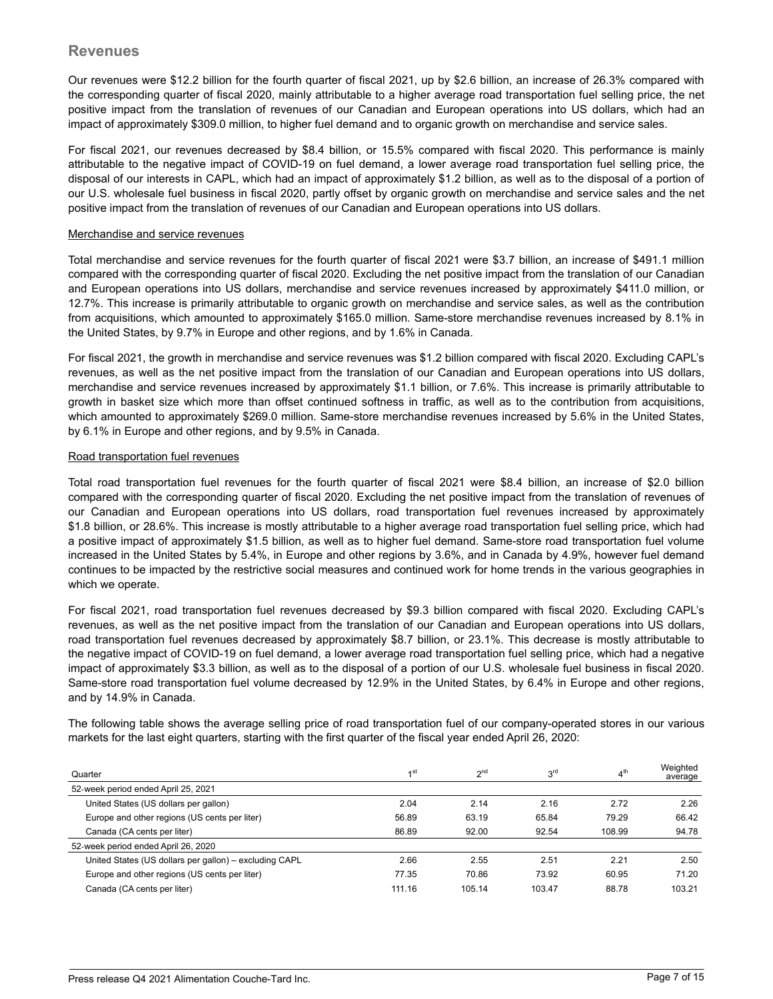Our revenues were \$12.2 billion for the fourth quarter of fiscal 2021, up by \$2.6 billion, an increase of 26.3% compared with the corresponding quarter of fiscal 2020, mainly attributable to a higher average road transportation fuel selling price, the net positive impact from the translation of revenues of our Canadian and European operations into US dollars, which had an impact of approximately \$309.0 million, to higher fuel demand and to organic growth on merchandise and service sales.

For fiscal 2021, our revenues decreased by \$8.4 billion, or 15.5% compared with fiscal 2020. This performance is mainly attributable to the negative impact of COVID-19 on fuel demand, a lower average road transportation fuel selling price, the disposal of our interests in CAPL, which had an impact of approximately \$1.2 billion, as well as to the disposal of a portion of our U.S. wholesale fuel business in fiscal 2020, partly offset by organic growth on merchandise and service sales and the net positive impact from the translation of revenues of our Canadian and European operations into US dollars.

#### Merchandise and service revenues

Total merchandise and service revenues for the fourth quarter of fiscal 2021 were \$3.7 billion, an increase of \$491.1 million compared with the corresponding quarter of fiscal 2020. Excluding the net positive impact from the translation of our Canadian and European operations into US dollars, merchandise and service revenues increased by approximately \$411.0 million, or 12.7%. This increase is primarily attributable to organic growth on merchandise and service sales, as well as the contribution from acquisitions, which amounted to approximately \$165.0 million. Same-store merchandise revenues increased by 8.1% in the United States, by 9.7% in Europe and other regions, and by 1.6% in Canada.

For fiscal 2021, the growth in merchandise and service revenues was \$1.2 billion compared with fiscal 2020. Excluding CAPL's revenues, as well as the net positive impact from the translation of our Canadian and European operations into US dollars, merchandise and service revenues increased by approximately \$1.1 billion, or 7.6%. This increase is primarily attributable to growth in basket size which more than offset continued softness in traffic, as well as to the contribution from acquisitions, which amounted to approximately \$269.0 million. Same-store merchandise revenues increased by 5.6% in the United States, by 6.1% in Europe and other regions, and by 9.5% in Canada.

#### Road transportation fuel revenues

Total road transportation fuel revenues for the fourth quarter of fiscal 2021 were \$8.4 billion, an increase of \$2.0 billion compared with the corresponding quarter of fiscal 2020. Excluding the net positive impact from the translation of revenues of our Canadian and European operations into US dollars, road transportation fuel revenues increased by approximately \$1.8 billion, or 28.6%. This increase is mostly attributable to a higher average road transportation fuel selling price, which had a positive impact of approximately \$1.5 billion, as well as to higher fuel demand. Same-store road transportation fuel volume increased in the United States by 5.4%, in Europe and other regions by 3.6%, and in Canada by 4.9%, however fuel demand continues to be impacted by the restrictive social measures and continued work for home trends in the various geographies in which we operate.

For fiscal 2021, road transportation fuel revenues decreased by \$9.3 billion compared with fiscal 2020. Excluding CAPL's revenues, as well as the net positive impact from the translation of our Canadian and European operations into US dollars, road transportation fuel revenues decreased by approximately \$8.7 billion, or 23.1%. This decrease is mostly attributable to the negative impact of COVID-19 on fuel demand, a lower average road transportation fuel selling price, which had a negative impact of approximately \$3.3 billion, as well as to the disposal of a portion of our U.S. wholesale fuel business in fiscal 2020. Same-store road transportation fuel volume decreased by 12.9% in the United States, by 6.4% in Europe and other regions, and by 14.9% in Canada.

The following table shows the average selling price of road transportation fuel of our company-operated stores in our various markets for the last eight quarters, starting with the first quarter of the fiscal year ended April 26, 2020:

| Quarter                                                | 4 st   | <sub>n</sub> nd | ord    | 4 <sup>th</sup> | Weighted<br>average |
|--------------------------------------------------------|--------|-----------------|--------|-----------------|---------------------|
| 52-week period ended April 25, 2021                    |        |                 |        |                 |                     |
| United States (US dollars per gallon)                  | 2.04   | 2.14            | 2.16   | 2.72            | 2.26                |
| Europe and other regions (US cents per liter)          | 56.89  | 63.19           | 65.84  | 79.29           | 66.42               |
| Canada (CA cents per liter)                            | 86.89  | 92.00           | 92.54  | 108.99          | 94.78               |
| 52-week period ended April 26, 2020                    |        |                 |        |                 |                     |
| United States (US dollars per gallon) - excluding CAPL | 2.66   | 2.55            | 2.51   | 2.21            | 2.50                |
| Europe and other regions (US cents per liter)          | 77.35  | 70.86           | 73.92  | 60.95           | 71.20               |
| Canada (CA cents per liter)                            | 111.16 | 105.14          | 103.47 | 88.78           | 103.21              |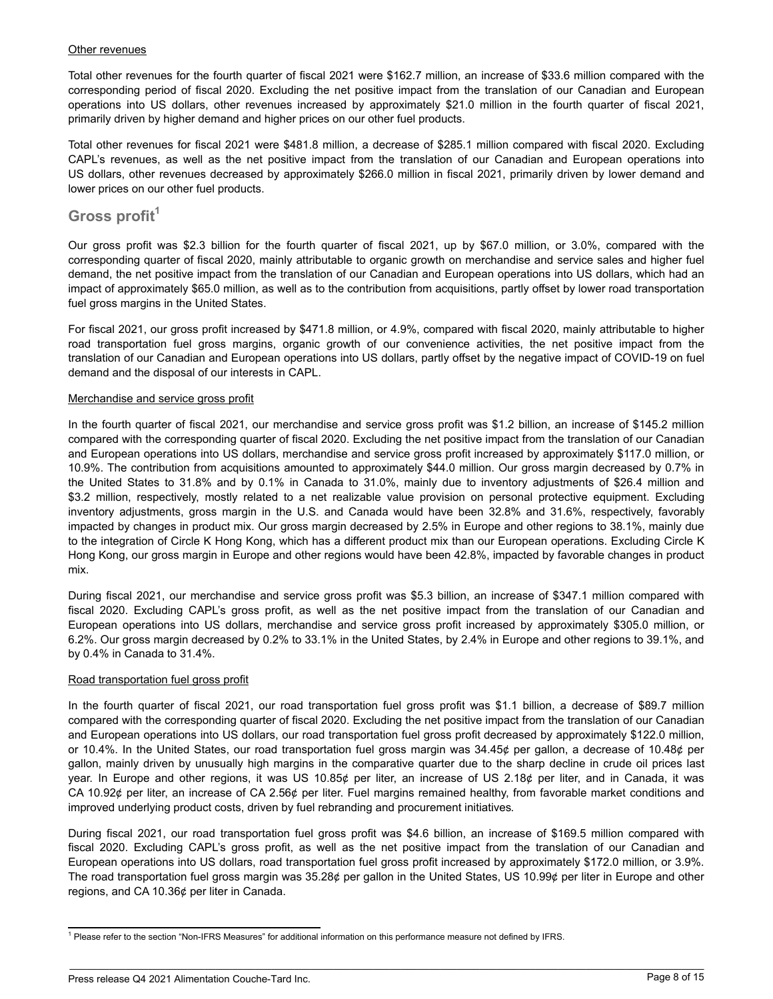#### Other revenues

Total other revenues for the fourth quarter of fiscal 2021 were \$162.7 million, an increase of \$33.6 million compared with the corresponding period of fiscal 2020. Excluding the net positive impact from the translation of our Canadian and European operations into US dollars, other revenues increased by approximately \$21.0 million in the fourth quarter of fiscal 2021, primarily driven by higher demand and higher prices on our other fuel products.

Total other revenues for fiscal 2021 were \$481.8 million, a decrease of \$285.1 million compared with fiscal 2020. Excluding CAPL's revenues, as well as the net positive impact from the translation of our Canadian and European operations into US dollars, other revenues decreased by approximately \$266.0 million in fiscal 2021, primarily driven by lower demand and lower prices on our other fuel products.

## **Gross profit<sup>1</sup>**

Our gross profit was \$2.3 billion for the fourth quarter of fiscal 2021, up by \$67.0 million, or 3.0%, compared with the corresponding quarter of fiscal 2020, mainly attributable to organic growth on merchandise and service sales and higher fuel demand, the net positive impact from the translation of our Canadian and European operations into US dollars, which had an impact of approximately \$65.0 million, as well as to the contribution from acquisitions, partly offset by lower road transportation fuel gross margins in the United States.

For fiscal 2021, our gross profit increased by \$471.8 million, or 4.9%, compared with fiscal 2020, mainly attributable to higher road transportation fuel gross margins, organic growth of our convenience activities, the net positive impact from the translation of our Canadian and European operations into US dollars, partly offset by the negative impact of COVID-19 on fuel demand and the disposal of our interests in CAPL.

#### Merchandise and service gross profit

In the fourth quarter of fiscal 2021, our merchandise and service gross profit was \$1.2 billion, an increase of \$145.2 million compared with the corresponding quarter of fiscal 2020. Excluding the net positive impact from the translation of our Canadian and European operations into US dollars, merchandise and service gross profit increased by approximately \$117.0 million, or 10.9%. The contribution from acquisitions amounted to approximately \$44.0 million. Our gross margin decreased by 0.7% in the United States to 31.8% and by 0.1% in Canada to 31.0%, mainly due to inventory adjustments of \$26.4 million and \$3.2 million, respectively, mostly related to a net realizable value provision on personal protective equipment. Excluding inventory adjustments, gross margin in the U.S. and Canada would have been 32.8% and 31.6%, respectively, favorably impacted by changes in product mix. Our gross margin decreased by 2.5% in Europe and other regions to 38.1%, mainly due to the integration of Circle K Hong Kong, which has a different product mix than our European operations. Excluding Circle K Hong Kong, our gross margin in Europe and other regions would have been 42.8%, impacted by favorable changes in product mix.

During fiscal 2021, our merchandise and service gross profit was \$5.3 billion, an increase of \$347.1 million compared with fiscal 2020. Excluding CAPL's gross profit, as well as the net positive impact from the translation of our Canadian and European operations into US dollars, merchandise and service gross profit increased by approximately \$305.0 million, or 6.2%. Our gross margin decreased by 0.2% to 33.1% in the United States, by 2.4% in Europe and other regions to 39.1%, and by 0.4% in Canada to 31.4%.

#### Road transportation fuel gross profit

In the fourth quarter of fiscal 2021, our road transportation fuel gross profit was \$1.1 billion, a decrease of \$89.7 million compared with the corresponding quarter of fiscal 2020. Excluding the net positive impact from the translation of our Canadian and European operations into US dollars, our road transportation fuel gross profit decreased by approximately \$122.0 million, or 10.4%. In the United States, our road transportation fuel gross margin was 34.45¢ per gallon, a decrease of 10.48¢ per gallon, mainly driven by unusually high margins in the comparative quarter due to the sharp decline in crude oil prices last year. In Europe and other regions, it was US 10.85¢ per liter, an increase of US 2.18¢ per liter, and in Canada, it was CA 10.92¢ per liter, an increase of CA 2.56¢ per liter. Fuel margins remained healthy, from favorable market conditions and improved underlying product costs, driven by fuel rebranding and procurement initiatives.

During fiscal 2021, our road transportation fuel gross profit was \$4.6 billion, an increase of \$169.5 million compared with fiscal 2020. Excluding CAPL's gross profit, as well as the net positive impact from the translation of our Canadian and European operations into US dollars, road transportation fuel gross profit increased by approximately \$172.0 million, or 3.9%. The road transportation fuel gross margin was 35.28¢ per gallon in the United States, US 10.99¢ per liter in Europe and other regions, and CA 10.36¢ per liter in Canada.

<sup>&</sup>lt;sup>1</sup> Please refer to the section "Non-IFRS Measures" for additional information on this performance measure not defined by IFRS.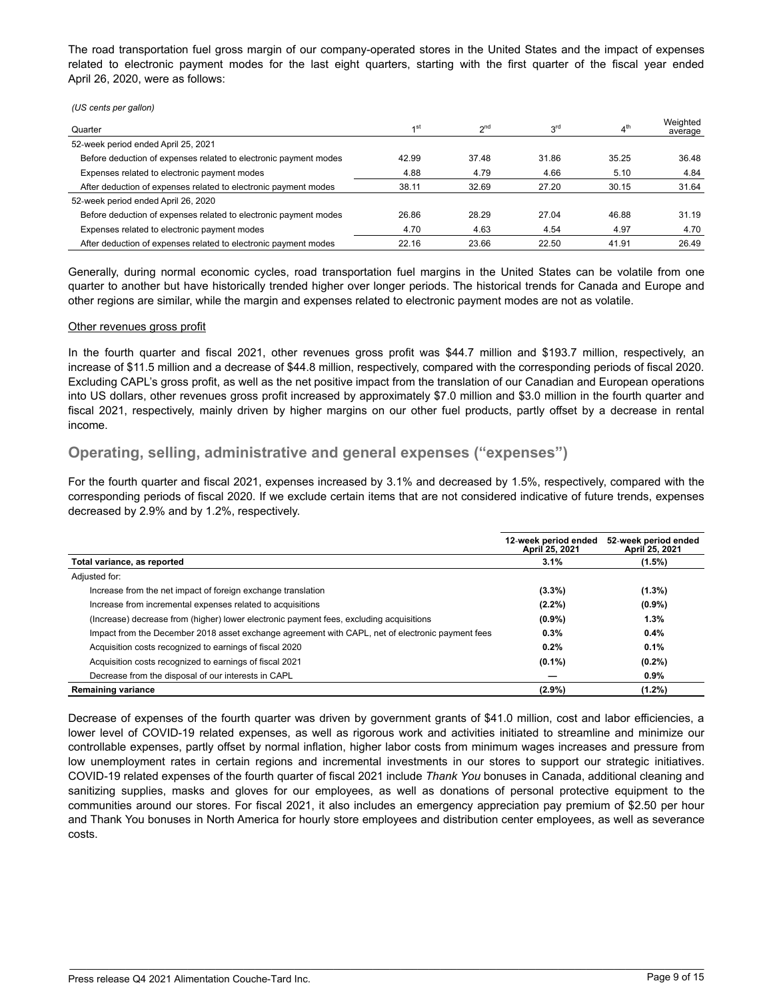The road transportation fuel gross margin of our company-operated stores in the United States and the impact of expenses related to electronic payment modes for the last eight quarters, starting with the first quarter of the fiscal year ended April 26, 2020, were as follows:

*(US cents per gallon)*

| Quarter                                                          | 1st   | 2 <sub>nd</sub> | 3 <sup>rd</sup> | 4 <sup>th</sup> | Weighted<br>average |
|------------------------------------------------------------------|-------|-----------------|-----------------|-----------------|---------------------|
| 52-week period ended April 25, 2021                              |       |                 |                 |                 |                     |
| Before deduction of expenses related to electronic payment modes | 42.99 | 37.48           | 31.86           | 35.25           | 36.48               |
| Expenses related to electronic payment modes                     | 4.88  | 4.79            | 4.66            | 5.10            | 4.84                |
| After deduction of expenses related to electronic payment modes  | 38.11 | 32.69           | 27.20           | 30.15           | 31.64               |
| 52-week period ended April 26, 2020                              |       |                 |                 |                 |                     |
| Before deduction of expenses related to electronic payment modes | 26.86 | 28.29           | 27.04           | 46.88           | 31.19               |
| Expenses related to electronic payment modes                     | 4.70  | 4.63            | 4.54            | 4.97            | 4.70                |
| After deduction of expenses related to electronic payment modes  | 22.16 | 23.66           | 22.50           | 41.91           | 26.49               |

Generally, during normal economic cycles, road transportation fuel margins in the United States can be volatile from one quarter to another but have historically trended higher over longer periods. The historical trends for Canada and Europe and other regions are similar, while the margin and expenses related to electronic payment modes are not as volatile.

#### Other revenues gross profit

In the fourth quarter and fiscal 2021, other revenues gross profit was \$44.7 million and \$193.7 million, respectively, an increase of \$11.5 million and a decrease of \$44.8 million, respectively, compared with the corresponding periods of fiscal 2020. Excluding CAPL's gross profit, as well as the net positive impact from the translation of our Canadian and European operations into US dollars, other revenues gross profit increased by approximately \$7.0 million and \$3.0 million in the fourth quarter and fiscal 2021, respectively, mainly driven by higher margins on our other fuel products, partly offset by a decrease in rental income.

## **Operating, selling, administrative and general expenses ("expenses")**

For the fourth quarter and fiscal 2021, expenses increased by 3.1% and decreased by 1.5%, respectively, compared with the corresponding periods of fiscal 2020. If we exclude certain items that are not considered indicative of future trends, expenses decreased by 2.9% and by 1.2%, respectively.

|                                                                                                  | 12-week period ended<br>April 25, 2021 | 52-week period ended<br>April 25, 2021 |
|--------------------------------------------------------------------------------------------------|----------------------------------------|----------------------------------------|
| Total variance, as reported                                                                      | 3.1%                                   | $(1.5\%)$                              |
| Adjusted for:                                                                                    |                                        |                                        |
| Increase from the net impact of foreign exchange translation                                     | $(3.3\%)$                              | $(1.3\%)$                              |
| Increase from incremental expenses related to acquisitions                                       | $(2.2\%)$                              | $(0.9\%)$                              |
| (Increase) decrease from (higher) lower electronic payment fees, excluding acquisitions          | $(0.9\%)$                              | 1.3%                                   |
| Impact from the December 2018 asset exchange agreement with CAPL, net of electronic payment fees | 0.3%                                   | 0.4%                                   |
| Acquisition costs recognized to earnings of fiscal 2020                                          | 0.2%                                   | 0.1%                                   |
| Acquisition costs recognized to earnings of fiscal 2021                                          | $(0.1\%)$                              | $(0.2\%)$                              |
| Decrease from the disposal of our interests in CAPL                                              |                                        | $0.9\%$                                |
| <b>Remaining variance</b>                                                                        | $(2.9\%)$                              | $(1.2\%)$                              |

Decrease of expenses of the fourth quarter was driven by government grants of \$41.0 million, cost and labor efficiencies, a lower level of COVID-19 related expenses, as well as rigorous work and activities initiated to streamline and minimize our controllable expenses, partly offset by normal inflation, higher labor costs from minimum wages increases and pressure from low unemployment rates in certain regions and incremental investments in our stores to support our strategic initiatives. COVID-19 related expenses of the fourth quarter of fiscal 2021 include *Thank You* bonuses in Canada, additional cleaning and sanitizing supplies, masks and gloves for our employees, as well as donations of personal protective equipment to the communities around our stores. For fiscal 2021, it also includes an emergency appreciation pay premium of \$2.50 per hour and Thank You bonuses in North America for hourly store employees and distribution center employees, as well as severance costs.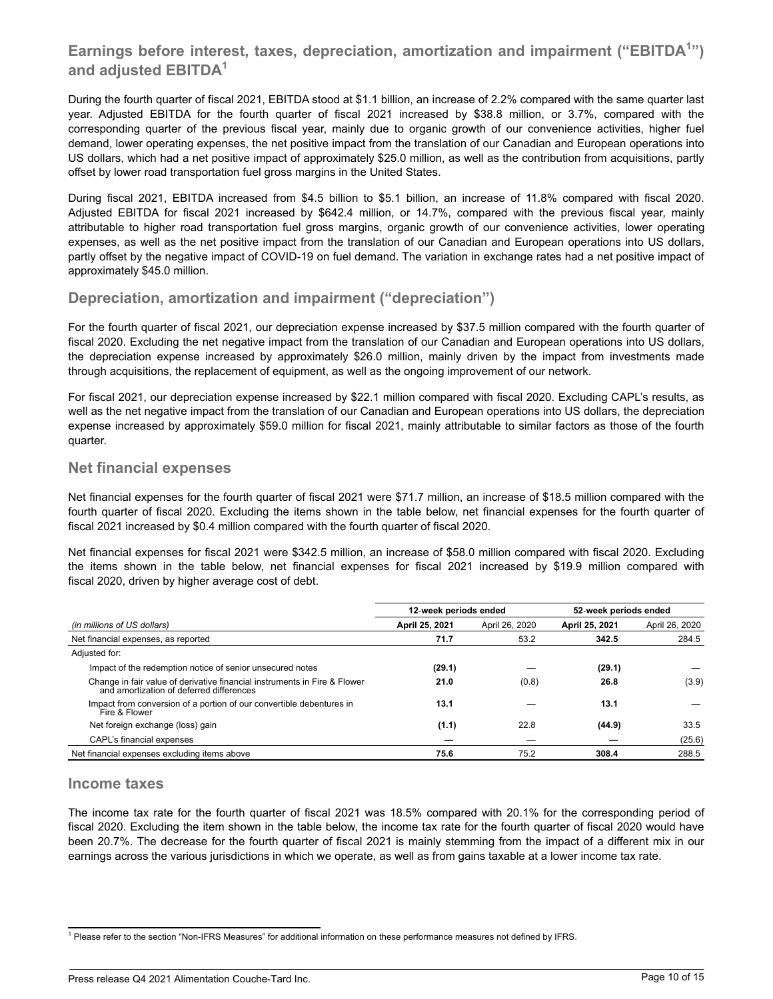## **Earnings before interest, taxes, depreciation, amortization and impairment ("EBITDA<sup>1</sup> ") and adjusted EBITDA<sup>1</sup>**

During the fourth quarter of fiscal 2021, EBITDA stood at \$1.1 billion, an increase of 2.2% compared with the same quarter last year. Adjusted EBITDA for the fourth quarter of fiscal 2021 increased by \$38.8 million, or 3.7%, compared with the corresponding quarter of the previous fiscal year, mainly due to organic growth of our convenience activities, higher fuel demand, lower operating expenses, the net positive impact from the translation of our Canadian and European operations into US dollars, which had a net positive impact of approximately \$25.0 million, as well as the contribution from acquisitions, partly offset by lower road transportation fuel gross margins in the United States.

During fiscal 2021, EBITDA increased from \$4.5 billion to \$5.1 billion, an increase of 11.8% compared with fiscal 2020. Adjusted EBITDA for fiscal 2021 increased by \$642.4 million, or 14.7%, compared with the previous fiscal year, mainly attributable to higher road transportation fuel gross margins, organic growth of our convenience activities, lower operating expenses, as well as the net positive impact from the translation of our Canadian and European operations into US dollars, partly offset by the negative impact of COVID-19 on fuel demand. The variation in exchange rates had a net positive impact of approximately \$45.0 million.

## **Depreciation, amortization and impairment ("depreciation")**

For the fourth quarter of fiscal 2021, our depreciation expense increased by \$37.5 million compared with the fourth quarter of fiscal 2020. Excluding the net negative impact from the translation of our Canadian and European operations into US dollars, the depreciation expense increased by approximately \$26.0 million, mainly driven by the impact from investments made through acquisitions, the replacement of equipment, as well as the ongoing improvement of our network.

For fiscal 2021, our depreciation expense increased by \$22.1 million compared with fiscal 2020. Excluding CAPL's results, as well as the net negative impact from the translation of our Canadian and European operations into US dollars, the depreciation expense increased by approximately \$59.0 million for fiscal 2021, mainly attributable to similar factors as those of the fourth quarter.

## **Net financial expenses**

Net financial expenses for the fourth quarter of fiscal 2021 were \$71.7 million, an increase of \$18.5 million compared with the fourth quarter of fiscal 2020. Excluding the items shown in the table below, net financial expenses for the fourth quarter of fiscal 2021 increased by \$0.4 million compared with the fourth quarter of fiscal 2020.

Net financial expenses for fiscal 2021 were \$342.5 million, an increase of \$58.0 million compared with fiscal 2020. Excluding the items shown in the table below, net financial expenses for fiscal 2021 increased by \$19.9 million compared with fiscal 2020, driven by higher average cost of debt.

| 52-week periods ended<br>April 26, 2020<br>284.5 |
|--------------------------------------------------|
|                                                  |
|                                                  |
|                                                  |
|                                                  |
|                                                  |
| (3.9)                                            |
|                                                  |
| 33.5                                             |
| (25.6)                                           |
| 288.5                                            |
|                                                  |

### **Income taxes**

.

The income tax rate for the fourth quarter of fiscal 2021 was 18.5% compared with 20.1% for the corresponding period of fiscal 2020. Excluding the item shown in the table below, the income tax rate for the fourth quarter of fiscal 2020 would have been 20.7%. The decrease for the fourth quarter of fiscal 2021 is mainly stemming from the impact of a different mix in our earnings across the various jurisdictions in which we operate, as well as from gains taxable at a lower income tax rate.

<sup>&</sup>lt;sup>1</sup> Please refer to the section "Non-IFRS Measures" for additional information on these performance measures not defined by IFRS.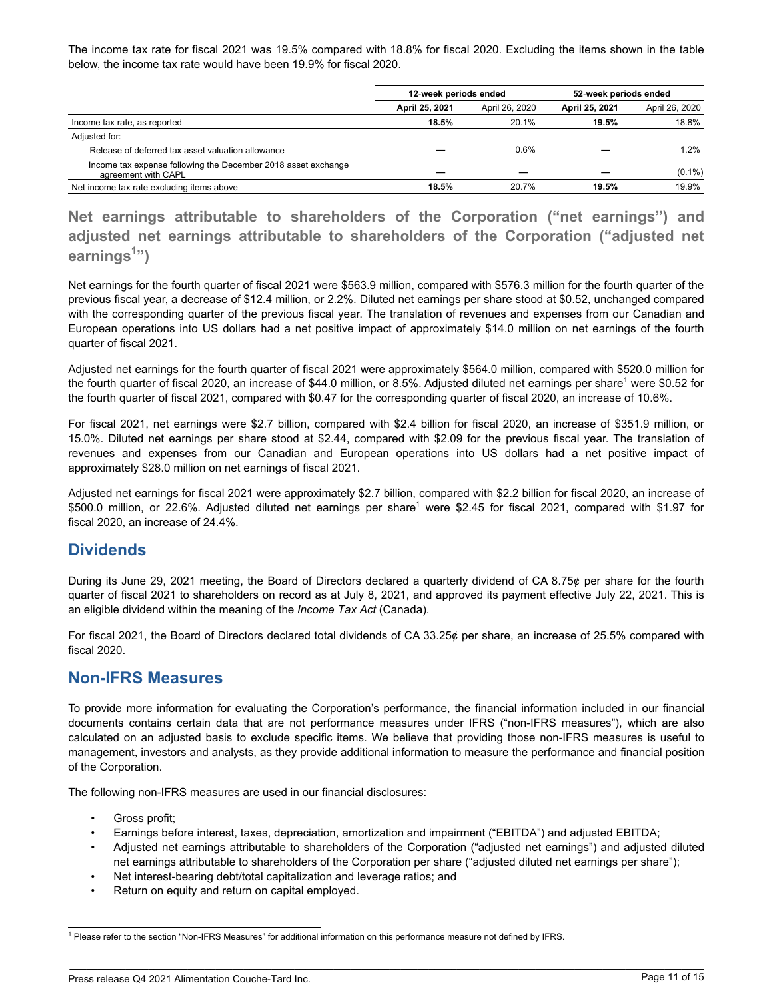The income tax rate for fiscal 2021 was 19.5% compared with 18.8% for fiscal 2020. Excluding the items shown in the table below, the income tax rate would have been 19.9% for fiscal 2020.

|                                                                                      | 12-week periods ended |                | 52-week periods ended |                |  |
|--------------------------------------------------------------------------------------|-----------------------|----------------|-----------------------|----------------|--|
|                                                                                      | April 25, 2021        | April 26, 2020 | April 25, 2021        | April 26, 2020 |  |
| Income tax rate, as reported                                                         | 18.5%                 | 20.1%          | 19.5%                 | 18.8%          |  |
| Adjusted for:                                                                        |                       |                |                       |                |  |
| Release of deferred tax asset valuation allowance                                    |                       | 0.6%           |                       | 1.2%           |  |
| Income tax expense following the December 2018 asset exchange<br>agreement with CAPL |                       |                |                       | $(0.1\%)$      |  |
| Net income tax rate excluding items above                                            | 18.5%                 | 20.7%          | 19.5%                 | 19.9%          |  |

**Net earnings attributable to shareholders of the Corporation ("net earnings") and adjusted net earnings attributable to shareholders of the Corporation ("adjusted net earnings<sup>1</sup> ")**

Net earnings for the fourth quarter of fiscal 2021 were \$563.9 million, compared with \$576.3 million for the fourth quarter of the previous fiscal year, a decrease of \$12.4 million, or 2.2%. Diluted net earnings per share stood at \$0.52, unchanged compared with the corresponding quarter of the previous fiscal year. The translation of revenues and expenses from our Canadian and European operations into US dollars had a net positive impact of approximately \$14.0 million on net earnings of the fourth quarter of fiscal 2021.

Adjusted net earnings for the fourth quarter of fiscal 2021 were approximately \$564.0 million, compared with \$520.0 million for the fourth quarter of fiscal 2020, an increase of \$44.0 million, or 8.5%. Adjusted diluted net earnings per share<sup>1</sup> were \$0.52 for the fourth quarter of fiscal 2021, compared with \$0.47 for the corresponding quarter of fiscal 2020, an increase of 10.6%.

For fiscal 2021, net earnings were \$2.7 billion, compared with \$2.4 billion for fiscal 2020, an increase of \$351.9 million, or 15.0%. Diluted net earnings per share stood at \$2.44, compared with \$2.09 for the previous fiscal year. The translation of revenues and expenses from our Canadian and European operations into US dollars had a net positive impact of approximately \$28.0 million on net earnings of fiscal 2021.

Adjusted net earnings for fiscal 2021 were approximately \$2.7 billion, compared with \$2.2 billion for fiscal 2020, an increase of \$500.0 million, or 22.6%. Adjusted diluted net earnings per share<sup>1</sup> were \$2.45 for fiscal 2021, compared with \$1.97 for fiscal 2020, an increase of 24.4%.

## **Dividends**

During its June 29, 2021 meeting, the Board of Directors declared a quarterly dividend of CA 8.75¢ per share for the fourth quarter of fiscal 2021 to shareholders on record as at July 8, 2021, and approved its payment effective July 22, 2021. This is an eligible dividend within the meaning of the *Income Tax Act* (Canada).

For fiscal 2021, the Board of Directors declared total dividends of CA 33.25¢ per share, an increase of 25.5% compared with fiscal 2020.

## **Non-IFRS Measures**

To provide more information for evaluating the Corporation's performance, the financial information included in our financial documents contains certain data that are not performance measures under IFRS ("non-IFRS measures"), which are also calculated on an adjusted basis to exclude specific items. We believe that providing those non-IFRS measures is useful to management, investors and analysts, as they provide additional information to measure the performance and financial position of the Corporation.

The following non-IFRS measures are used in our financial disclosures:

Gross profit;

- Earnings before interest, taxes, depreciation, amortization and impairment ("EBITDA") and adjusted EBITDA;
- Adjusted net earnings attributable to shareholders of the Corporation ("adjusted net earnings") and adjusted diluted net earnings attributable to shareholders of the Corporation per share ("adjusted diluted net earnings per share");
- Net interest-bearing debt/total capitalization and leverage ratios; and
- Return on equity and return on capital employed.

<sup>&</sup>lt;sup>1</sup> Please refer to the section "Non-IFRS Measures" for additional information on this performance measure not defined by IFRS.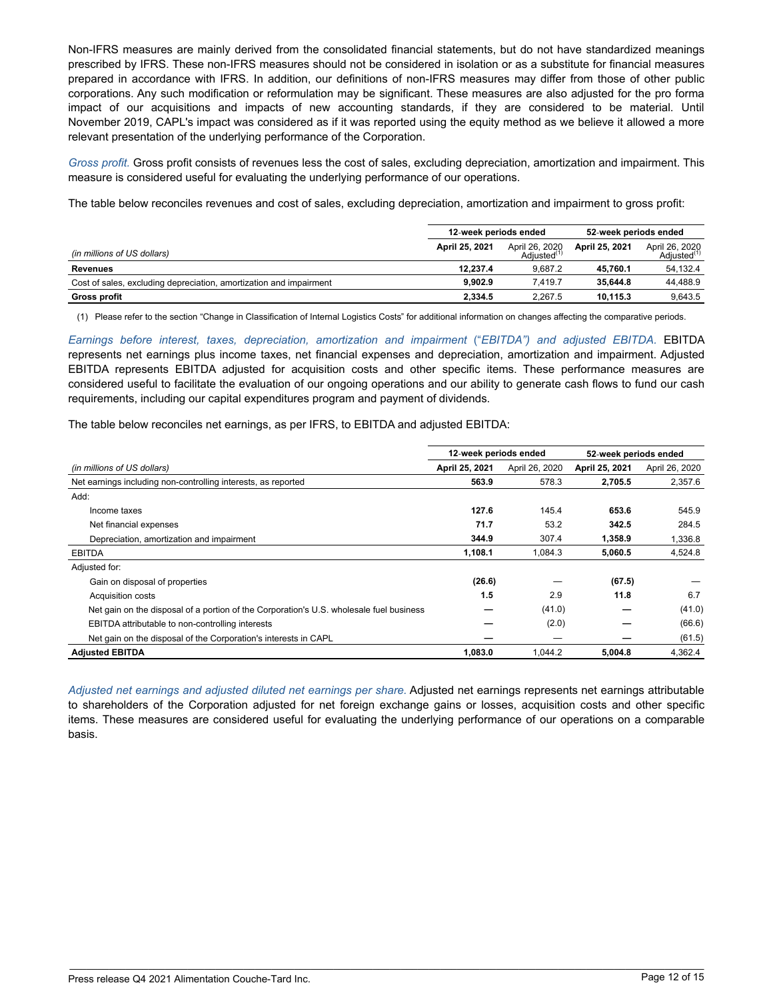Non-IFRS measures are mainly derived from the consolidated financial statements, but do not have standardized meanings prescribed by IFRS. These non-IFRS measures should not be considered in isolation or as a substitute for financial measures prepared in accordance with IFRS. In addition, our definitions of non-IFRS measures may differ from those of other public corporations. Any such modification or reformulation may be significant. These measures are also adjusted for the pro forma impact of our acquisitions and impacts of new accounting standards, if they are considered to be material. Until November 2019, CAPL's impact was considered as if it was reported using the equity method as we believe it allowed a more relevant presentation of the underlying performance of the Corporation.

*Gross profit.* Gross profit consists of revenues less the cost of sales, excluding depreciation, amortization and impairment. This measure is considered useful for evaluating the underlying performance of our operations.

The table below reconciles revenues and cost of sales, excluding depreciation, amortization and impairment to gross profit:

|                                                                    | 12-week periods ended |                                          | 52-week periods ended |                                           |  |
|--------------------------------------------------------------------|-----------------------|------------------------------------------|-----------------------|-------------------------------------------|--|
| (in millions of US dollars)                                        | April 25, 2021        | April 26, 2020<br>Adiusted <sup>(1</sup> | April 25, 2021        | April 26, 2020<br>Adjusted <sup>(1)</sup> |  |
| Revenues                                                           | 12.237.4              | 9.687.2                                  | 45.760.1              | 54.132.4                                  |  |
| Cost of sales, excluding depreciation, amortization and impairment | 9.902.9               | 7.419.7                                  | 35.644.8              | 44.488.9                                  |  |
| <b>Gross profit</b>                                                | 2,334.5               | 2.267.5                                  | 10.115.3              | 9.643.5                                   |  |

(1) Please refer to the section "Change in Classification of Internal Logistics Costs" for additional information on changes affecting the comparative periods.

*Earnings before interest, taxes, depreciation, amortization and impairment* ("*EBITDA") and adjusted EBITDA.* EBITDA represents net earnings plus income taxes, net financial expenses and depreciation, amortization and impairment. Adjusted EBITDA represents EBITDA adjusted for acquisition costs and other specific items. These performance measures are considered useful to facilitate the evaluation of our ongoing operations and our ability to generate cash flows to fund our cash requirements, including our capital expenditures program and payment of dividends.

The table below reconciles net earnings, as per IFRS, to EBITDA and adjusted EBITDA:

|                                                                                         | 12-week periods ended |                | 52-week periods ended |                |
|-----------------------------------------------------------------------------------------|-----------------------|----------------|-----------------------|----------------|
| (in millions of US dollars)                                                             | April 25, 2021        | April 26, 2020 | April 25, 2021        | April 26, 2020 |
| Net earnings including non-controlling interests, as reported                           | 563.9                 | 578.3          | 2,705.5               | 2,357.6        |
| Add:                                                                                    |                       |                |                       |                |
| Income taxes                                                                            | 127.6                 | 145.4          | 653.6                 | 545.9          |
| Net financial expenses                                                                  | 71.7                  | 53.2           | 342.5                 | 284.5          |
| Depreciation, amortization and impairment                                               | 344.9                 | 307.4          | 1,358.9               | 1,336.8        |
| <b>EBITDA</b>                                                                           | 1,108.1               | 1,084.3        | 5,060.5               | 4,524.8        |
| Adjusted for:                                                                           |                       |                |                       |                |
| Gain on disposal of properties                                                          | (26.6)                |                | (67.5)                |                |
| <b>Acquisition costs</b>                                                                | 1.5                   | 2.9            | 11.8                  | 6.7            |
| Net gain on the disposal of a portion of the Corporation's U.S. wholesale fuel business |                       | (41.0)         |                       | (41.0)         |
| <b>EBITDA</b> attributable to non-controlling interests                                 |                       | (2.0)          |                       | (66.6)         |
| Net gain on the disposal of the Corporation's interests in CAPL                         |                       |                |                       | (61.5)         |
| <b>Adiusted EBITDA</b>                                                                  | 1.083.0               | 1.044.2        | 5.004.8               | 4.362.4        |

*Adjusted net earnings and adjusted diluted net earnings per share.* Adjusted net earnings represents net earnings attributable to shareholders of the Corporation adjusted for net foreign exchange gains or losses, acquisition costs and other specific items. These measures are considered useful for evaluating the underlying performance of our operations on a comparable basis.

\_\_\_\_\_\_\_\_\_\_\_\_\_\_\_\_\_\_\_\_\_\_\_\_\_\_\_\_\_\_\_\_\_\_\_\_\_\_\_\_\_\_\_\_\_\_\_\_\_\_\_\_\_\_\_\_\_\_\_\_\_\_\_\_\_\_\_\_\_\_\_\_\_\_\_\_\_\_\_\_\_\_\_\_\_\_\_\_\_\_\_\_\_\_\_\_\_\_\_\_\_\_\_\_\_\_\_\_\_\_\_\_\_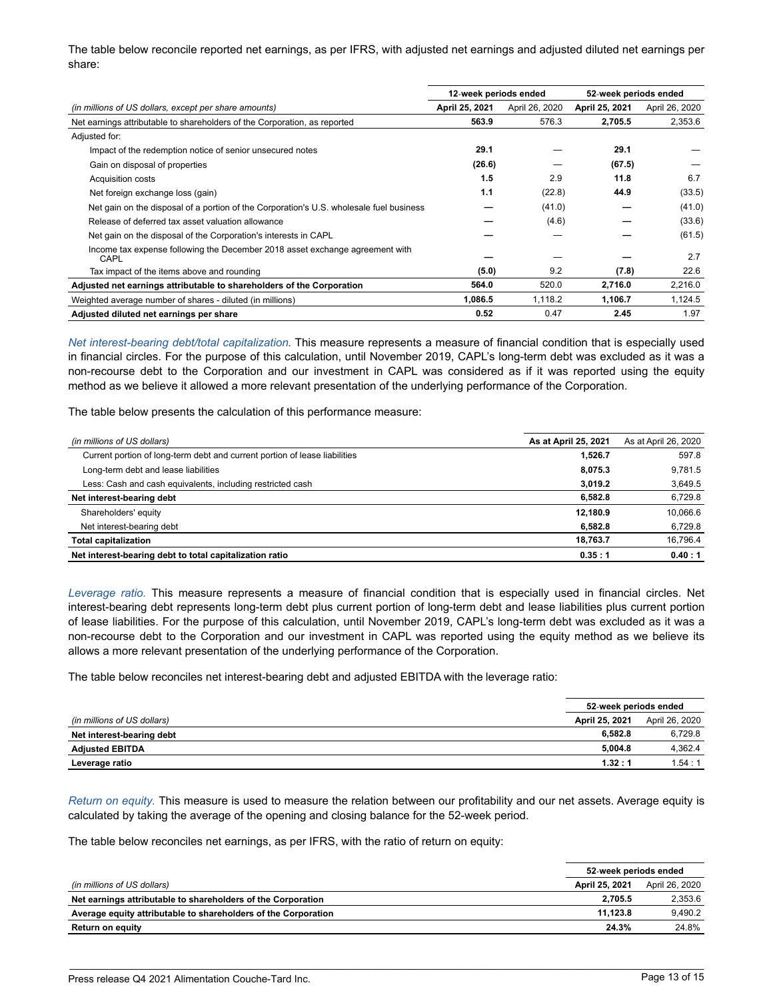The table below reconcile reported net earnings, as per IFRS, with adjusted net earnings and adjusted diluted net earnings per share:

| 12-week periods ended                                                                   |                |                | 52-week periods ended |                |
|-----------------------------------------------------------------------------------------|----------------|----------------|-----------------------|----------------|
| (in millions of US dollars, except per share amounts)                                   | April 25, 2021 | April 26, 2020 | April 25, 2021        | April 26, 2020 |
| Net earnings attributable to shareholders of the Corporation, as reported               | 563.9          | 576.3          | 2,705.5               | 2,353.6        |
| Adjusted for:                                                                           |                |                |                       |                |
| Impact of the redemption notice of senior unsecured notes                               | 29.1           |                | 29.1                  |                |
| Gain on disposal of properties                                                          | (26.6)         |                | (67.5)                |                |
| Acquisition costs                                                                       | 1.5            | 2.9            | 11.8                  | 6.7            |
| Net foreign exchange loss (gain)                                                        | 1.1            | (22.8)         | 44.9                  | (33.5)         |
| Net gain on the disposal of a portion of the Corporation's U.S. wholesale fuel business |                | (41.0)         |                       | (41.0)         |
| Release of deferred tax asset valuation allowance                                       |                | (4.6)          |                       | (33.6)         |
| Net gain on the disposal of the Corporation's interests in CAPL                         |                |                |                       | (61.5)         |
| Income tax expense following the December 2018 asset exchange agreement with<br>CAPL    |                |                |                       | 2.7            |
| Tax impact of the items above and rounding                                              | (5.0)          | 9.2            | (7.8)                 | 22.6           |
| Adjusted net earnings attributable to shareholders of the Corporation                   | 564.0          | 520.0          | 2,716.0               | 2,216.0        |
| Weighted average number of shares - diluted (in millions)                               | 1.086.5        | 1.118.2        | 1,106.7               | 1,124.5        |
| Adjusted diluted net earnings per share                                                 | 0.52           | 0.47           | 2.45                  | 1.97           |

*Net interest-bearing debt/total capitalization.* This measure represents a measure of financial condition that is especially used in financial circles. For the purpose of this calculation, until November 2019, CAPL's long-term debt was excluded as it was a non-recourse debt to the Corporation and our investment in CAPL was considered as if it was reported using the equity method as we believe it allowed a more relevant presentation of the underlying performance of the Corporation.

The table below presents the calculation of this performance measure:

| (in millions of US dollars)                                                | As at April 25, 2021 | As at April 26, 2020 |
|----------------------------------------------------------------------------|----------------------|----------------------|
| Current portion of long-term debt and current portion of lease liabilities | 1,526.7              | 597.8                |
| Long-term debt and lease liabilities                                       | 8,075.3              | 9.781.5              |
| Less: Cash and cash equivalents, including restricted cash                 | 3,019.2              | 3,649.5              |
| Net interest-bearing debt                                                  | 6,582.8              | 6,729.8              |
| Shareholders' equity                                                       | 12.180.9             | 10.066.6             |
| Net interest-bearing debt                                                  | 6,582.8              | 6,729.8              |
| <b>Total capitalization</b>                                                | 18.763.7             | 16,796.4             |
| Net interest-bearing debt to total capitalization ratio                    | 0.35:1               | 0.40:1               |

*Leverage ratio.* This measure represents a measure of financial condition that is especially used in financial circles. Net interest-bearing debt represents long-term debt plus current portion of long-term debt and lease liabilities plus current portion of lease liabilities. For the purpose of this calculation, until November 2019, CAPL's long-term debt was excluded as it was a non-recourse debt to the Corporation and our investment in CAPL was reported using the equity method as we believe its allows a more relevant presentation of the underlying performance of the Corporation.

The table below reconciles net interest-bearing debt and adjusted EBITDA with the leverage ratio:

|                             | 52-week periods ended |                |
|-----------------------------|-----------------------|----------------|
| (in millions of US dollars) | April 25, 2021        | April 26, 2020 |
| Net interest-bearing debt   | 6.582.8               | 6.729.8        |
| <b>Adjusted EBITDA</b>      | 5.004.8               | 4.362.4        |
| Leverage ratio              | 1.32:1                | 1.54:1         |

*Return on equity.* This measure is used to measure the relation between our profitability and our net assets. Average equity is calculated by taking the average of the opening and closing balance for the 52-week period.

The table below reconciles net earnings, as per IFRS, with the ratio of return on equity:

|                                                                |                | 52-week periods ended |  |
|----------------------------------------------------------------|----------------|-----------------------|--|
| (in millions of US dollars)                                    | April 25, 2021 | April 26, 2020        |  |
| Net earnings attributable to shareholders of the Corporation   | 2.705.5        | 2.353.6               |  |
| Average equity attributable to shareholders of the Corporation | 11.123.8       | 9.490.2               |  |
| Return on equity                                               | 24.3%          | 24.8%                 |  |

\_\_\_\_\_\_\_\_\_\_\_\_\_\_\_\_\_\_\_\_\_\_\_\_\_\_\_\_\_\_\_\_\_\_\_\_\_\_\_\_\_\_\_\_\_\_\_\_\_\_\_\_\_\_\_\_\_\_\_\_\_\_\_\_\_\_\_\_\_\_\_\_\_\_\_\_\_\_\_\_\_\_\_\_\_\_\_\_\_\_\_\_\_\_\_\_\_\_\_\_\_\_\_\_\_\_\_\_\_\_\_\_\_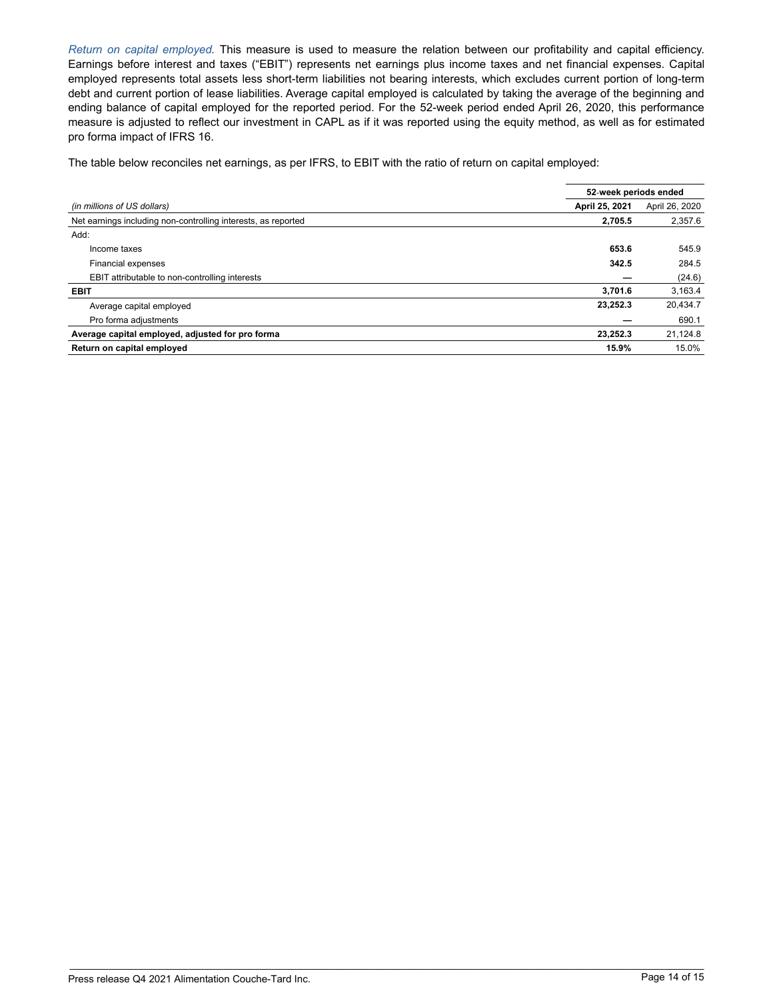*Return on capital employed.* This measure is used to measure the relation between our profitability and capital efficiency. Earnings before interest and taxes ("EBIT") represents net earnings plus income taxes and net financial expenses. Capital employed represents total assets less short-term liabilities not bearing interests, which excludes current portion of long-term debt and current portion of lease liabilities. Average capital employed is calculated by taking the average of the beginning and ending balance of capital employed for the reported period. For the 52-week period ended April 26, 2020, this performance measure is adjusted to reflect our investment in CAPL as if it was reported using the equity method, as well as for estimated pro forma impact of IFRS 16.

The table below reconciles net earnings, as per IFRS, to EBIT with the ratio of return on capital employed:

|                                                               | 52-week periods ended |                |
|---------------------------------------------------------------|-----------------------|----------------|
| (in millions of US dollars)                                   | April 25, 2021        | April 26, 2020 |
| Net earnings including non-controlling interests, as reported | 2,705.5               | 2,357.6        |
| Add:                                                          |                       |                |
| Income taxes                                                  | 653.6                 | 545.9          |
| Financial expenses                                            | 342.5                 | 284.5          |
| EBIT attributable to non-controlling interests                |                       | (24.6)         |
| <b>EBIT</b>                                                   | 3.701.6               | 3.163.4        |
| Average capital employed                                      | 23,252.3              | 20,434.7       |
| Pro forma adjustments                                         |                       | 690.1          |
| Average capital employed, adjusted for pro forma              | 23.252.3              | 21,124.8       |
| Return on capital employed                                    | 15.9%                 | 15.0%          |